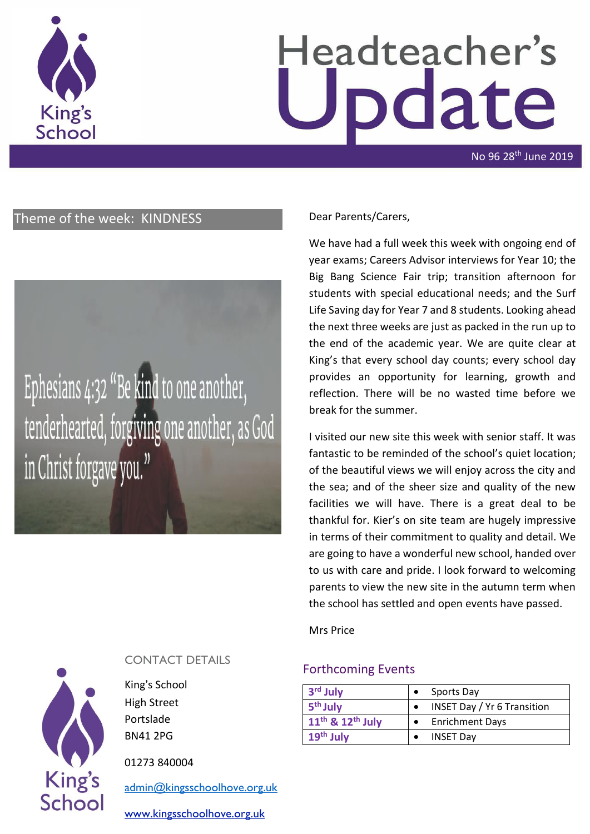

## Headteacher's odate

No 96 28th June 2019

#### Theme of the week: KINDNESS Dear Parents/Carers,

Ephesians 4:32 "Be kind to one another, tenderhearted, forgiving one another, as God in Christ forgave you."

# **King's** School

#### CONTACT DETAILS

King's School High Street Portslade BN41 2PG

01273 840004

[admin@kingsschoolhove.org.uk](mailto:admin@kingsschoolhove.org.uk)

[www.kingsschoolhove.org.uk](http://www.kingsschoolhove.org.uk/)

We have had a full week this week with ongoing end of year exams; Careers Advisor interviews for Year 10; the Big Bang Science Fair trip; transition afternoon for students with special educational needs; and the Surf Life Saving day for Year 7 and 8 students. Looking ahead the next three weeks are just as packed in the run up to the end of the academic year. We are quite clear at King's that every school day counts; every school day provides an opportunity for learning, growth and reflection. There will be no wasted time before we break for the summer.

I visited our new site this week with senior staff. It was fantastic to be reminded of the school's quiet location; of the beautiful views we will enjoy across the city and the sea; and of the sheer size and quality of the new facilities we will have. There is a great deal to be thankful for. Kier's on site team are hugely impressive in terms of their commitment to quality and detail. We are going to have a wonderful new school, handed over to us with care and pride. I look forward to welcoming parents to view the new site in the autumn term when the school has settled and open events have passed.

Mrs Price

#### Forthcoming Events

| 3rd July                                 | Sports Day                         |
|------------------------------------------|------------------------------------|
| 5 <sup>th</sup> July                     | <b>INSET Day / Yr 6 Transition</b> |
| 11 <sup>th</sup> & 12 <sup>th</sup> July | • Enrichment Days                  |
| 19 <sup>th</sup> July                    | <b>INSET Day</b>                   |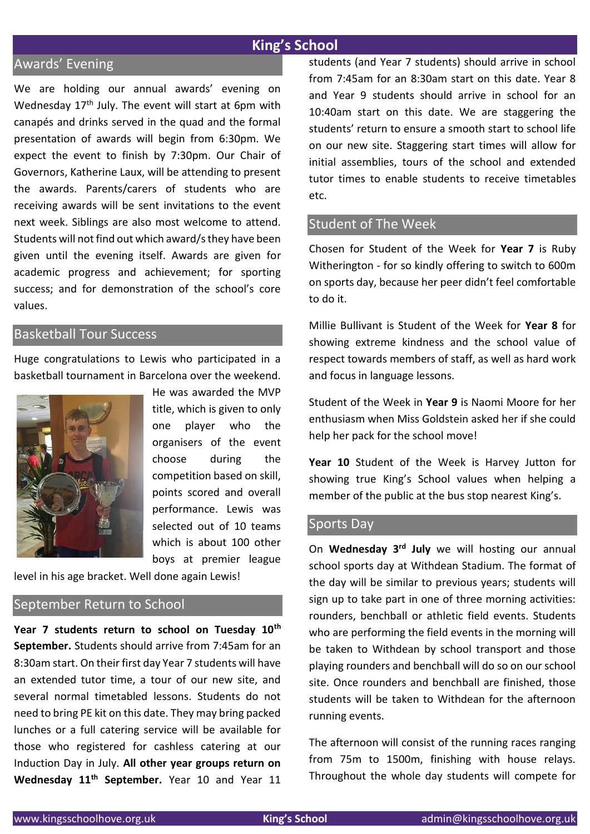#### **King's School**

#### Awards' Evening

We are holding our annual awards' evening on Wednesday 17<sup>th</sup> July. The event will start at 6pm with canapés and drinks served in the quad and the formal presentation of awards will begin from 6:30pm. We expect the event to finish by 7:30pm. Our Chair of Governors, Katherine Laux, will be attending to present the awards. Parents/carers of students who are receiving awards will be sent invitations to the event next week. Siblings are also most welcome to attend. Students will not find out which award/s they have been given until the evening itself. Awards are given for academic progress and achievement; for sporting success; and for demonstration of the school's core values.

#### Basketball Tour Success

Huge congratulations to Lewis who participated in a basketball tournament in Barcelona over the weekend.



He was awarded the MVP title, which is given to only one player who the organisers of the event choose during the competition based on skill, points scored and overall performance. Lewis was selected out of 10 teams which is about 100 other boys at premier league

level in his age bracket. Well done again Lewis!

#### September Return to School

**Year 7 students return to school on Tuesday 10th September.** Students should arrive from 7:45am for an 8:30am start. On their first day Year 7 students will have an extended tutor time, a tour of our new site, and several normal timetabled lessons. Students do not need to bring PE kit on this date. They may bring packed lunches or a full catering service will be available for those who registered for cashless catering at our Induction Day in July. **All other year groups return on Wednesday 11th September.** Year 10 and Year 11 students (and Year 7 students) should arrive in school from 7:45am for an 8:30am start on this date. Year 8 and Year 9 students should arrive in school for an 10:40am start on this date. We are staggering the students' return to ensure a smooth start to school life on our new site. Staggering start times will allow for initial assemblies, tours of the school and extended tutor times to enable students to receive timetables etc.

#### Student of The Week

Chosen for Student of the Week for **Year 7** is Ruby Witherington - for so kindly offering to switch to 600m on sports day, because her peer didn't feel comfortable to do it.

Millie Bullivant is Student of the Week for **Year 8** for showing extreme kindness and the school value of respect towards members of staff, as well as hard work and focus in language lessons.

Student of the Week in **Year 9** is Naomi Moore for her enthusiasm when Miss Goldstein asked her if she could help her pack for the school move!

**Year 10** Student of the Week is Harvey Jutton for showing true King's School values when helping a member of the public at the bus stop nearest King's.

#### Sports Day

On **Wednesday 3rd July** we will hosting our annual school sports day at Withdean Stadium. The format of the day will be similar to previous years; students will sign up to take part in one of three morning activities: rounders, benchball or athletic field events. Students who are performing the field events in the morning will be taken to Withdean by school transport and those playing rounders and benchball will do so on our school site. Once rounders and benchball are finished, those students will be taken to Withdean for the afternoon running events.

The afternoon will consist of the running races ranging from 75m to 1500m, finishing with house relays. Throughout the whole day students will compete for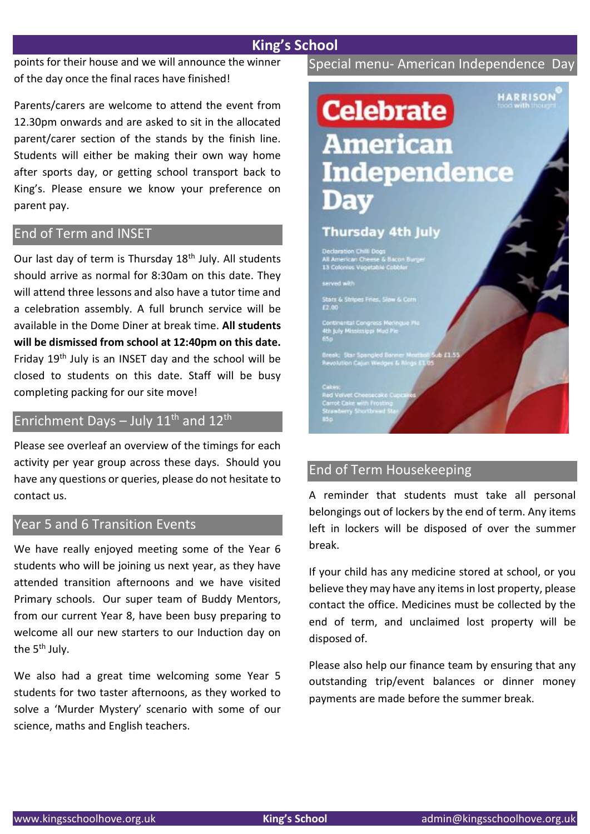#### **King's School**

points for their house and we will announce the winner of the day once the final races have finished!

Parents/carers are welcome to attend the event from 12.30pm onwards and are asked to sit in the allocated parent/carer section of the stands by the finish line. Students will either be making their own way home after sports day, or getting school transport back to King's. Please ensure we know your preference on parent pay.

#### End of Term and INSET

Our last day of term is Thursday 18<sup>th</sup> July. All students should arrive as normal for 8:30am on this date. They will attend three lessons and also have a tutor time and a celebration assembly. A full brunch service will be available in the Dome Diner at break time. **All students will be dismissed from school at 12:40pm on this date.** Friday  $19<sup>th</sup>$  July is an INSET day and the school will be closed to students on this date. Staff will be busy completing packing for our site move!

#### Enrichment Days – July  $11^{th}$  and  $12^{th}$

Please see overleaf an overview of the timings for each activity per year group across these days. Should you have any questions or queries, please do not hesitate to contact us.

#### Year 5 and 6 Transition Events

We have really enjoyed meeting some of the Year 6 students who will be joining us next year, as they have attended transition afternoons and we have visited Primary schools. Our super team of Buddy Mentors, from our current Year 8, have been busy preparing to welcome all our new starters to our Induction day on the 5<sup>th</sup> July.

We also had a great time welcoming some Year 5 students for two taster afternoons, as they worked to solve a 'Murder Mystery' scenario with some of our science, maths and English teachers.

Special menu- American Independence Day



#### End of Term Housekeeping

A reminder that students must take all personal belongings out of lockers by the end of term. Any items left in lockers will be disposed of over the summer break.

If your child has any medicine stored at school, or you believe they may have any items in lost property, please contact the office. Medicines must be collected by the end of term, and unclaimed lost property will be disposed of.

Please also help our finance team by ensuring that any outstanding trip/event balances or dinner money payments are made before the summer break.